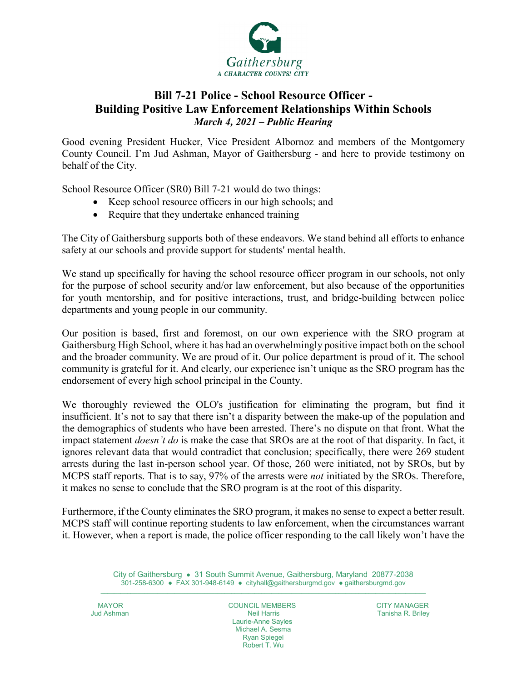

## **Bill 7-21 Police - School Resource Officer - Building Positive Law Enforcement Relationships Within Schools** *March 4, 2021 – Public Hearing*

Good evening President Hucker, Vice President Albornoz and members of the Montgomery County Council. I'm Jud Ashman, Mayor of Gaithersburg - and here to provide testimony on behalf of the City.

School Resource Officer (SR0) Bill 7-21 would do two things:

- Keep school resource officers in our high schools; and
- Require that they undertake enhanced training

The City of Gaithersburg supports both of these endeavors. We stand behind all efforts to enhance safety at our schools and provide support for students' mental health.

We stand up specifically for having the school resource officer program in our schools, not only for the purpose of school security and/or law enforcement, but also because of the opportunities for youth mentorship, and for positive interactions, trust, and bridge-building between police departments and young people in our community.

Our position is based, first and foremost, on our own experience with the SRO program at Gaithersburg High School, where it has had an overwhelmingly positive impact both on the school and the broader community. We are proud of it. Our police department is proud of it. The school community is grateful for it. And clearly, our experience isn't unique as the SRO program has the endorsement of every high school principal in the County.

We thoroughly reviewed the OLO's justification for eliminating the program, but find it insufficient. It's not to say that there isn't a disparity between the make-up of the population and the demographics of students who have been arrested. There's no dispute on that front. What the impact statement *doesn't do* is make the case that SROs are at the root of that disparity. In fact, it ignores relevant data that would contradict that conclusion; specifically, there were 269 student arrests during the last in-person school year. Of those, 260 were initiated, not by SROs, but by MCPS staff reports. That is to say, 97% of the arrests were *not* initiated by the SROs. Therefore, it makes no sense to conclude that the SRO program is at the root of this disparity.

Furthermore, if the County eliminates the SRO program, it makes no sense to expect a better result. MCPS staff will continue reporting students to law enforcement, when the circumstances warrant it. However, when a report is made, the police officer responding to the call likely won't have the

City of Gaithersburg ● 31 South Summit Avenue, Gaithersburg, Maryland 20877-2038 301-258-6300 ● FAX 301-948-6149 ● [cityhall@gaithersburgmd.gov](mailto:cityhall@gaithersburgmd.gov) ● [gaithersburgmd.gov](http://www.gaithersburgmd.gov/)  $\_$  ,  $\_$  ,  $\_$  ,  $\_$  ,  $\_$  ,  $\_$  ,  $\_$  ,  $\_$  ,  $\_$  ,  $\_$  ,  $\_$  ,  $\_$  ,  $\_$  ,  $\_$  ,  $\_$  ,  $\_$  ,  $\_$  ,  $\_$  ,  $\_$  ,  $\_$  ,  $\_$  ,  $\_$  ,  $\_$  ,  $\_$  ,  $\_$  ,  $\_$  ,  $\_$  ,  $\_$  ,  $\_$  ,  $\_$  ,  $\_$  ,  $\_$  ,  $\_$  ,  $\_$  ,  $\_$  ,  $\_$  ,  $\_$  ,

MAYOR COUNCIL MEMBERS CITY MANAGER Laurie-Anne Sayles Michael A. Sesma Ryan Spiegel Robert T. Wu

Tanisha R. Briley